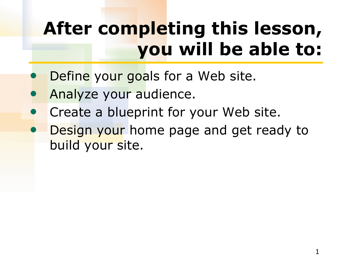# **After completing this lesson, you will be able to:**

- Define your goals for a Web site.
- Analyze your audience.
- Create a blueprint for your Web site.
- Design your home page and get ready to build your site.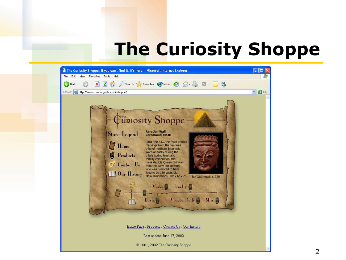## **The Curiosity Shoppe**

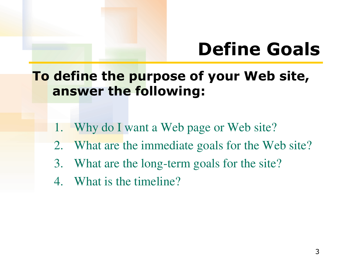# **Define Goals**

**To define the purpose of your Web site, answer the following:** 

- 1. Why do I want a Web page or Web site?
- 2. What are the immediate goals for the Web site?
- 3. What are the long-term goals for the site?
- 4. What is the timeline?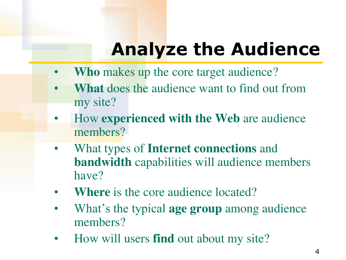# **Analyze the Audience**

- **Who** makes up the core target audience?
- **What** does the audience want to find out from my site?
- How **experienced with the Web** are audience members?
- What types of **Internet connections** and **bandwidth** capabilities will audience members have?
- **Where** is the core audience located?
- What's the typical **age group** among audience members?
- How will users **find** out about my site?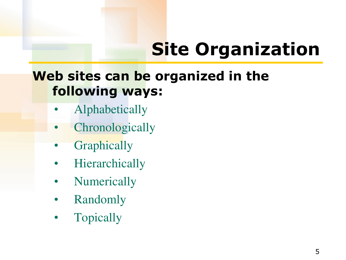# **Site Organization**

#### **Web sites can be organized in the following ways:**

- Alphabetically
- **Chronologically**
- **Graphically**
- **Hierarchically**
- **Numerically**
- Randomly
- **Topically**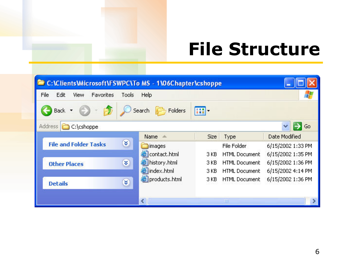## **File Structure**

| C:\Clients\Microsoft\FSWPC\To MS - 1\06Chapter\cshoppe |                   |             |                      |                   |
|--------------------------------------------------------|-------------------|-------------|----------------------|-------------------|
| File<br>Edit<br>Favorites<br><b>View</b><br>Tools      | Help              |             |                      |                   |
| Back                                                   | Folders<br>Search | m           |                      |                   |
| Address  <br>C:\cshoppe<br>Go                          |                   |             |                      |                   |
| ¥.<br><b>File and Folder Tasks</b>                     | Name<br>di.       | <b>Size</b> | Type                 | Date Modified     |
|                                                        | images            |             | File Folder          | 6/15/2002 1:33 PM |
| X<br><b>Other Places</b>                               | contact.html      | 3 KB        | <b>HTML Document</b> | 6/15/2002 1:35 PM |
|                                                        | history.html      | 3 KB        | <b>HTML Document</b> | 6/15/2002 1:36 PM |
|                                                        | index.html        | 3 KB        | <b>HTML Document</b> | 6/15/2002 4:14 PM |
| ×.<br><b>Details</b>                                   | products.html     | 3 KB        | <b>HTML Document</b> | 6/15/2002 1:36 PM |
|                                                        | ∢                 |             | ШI                   |                   |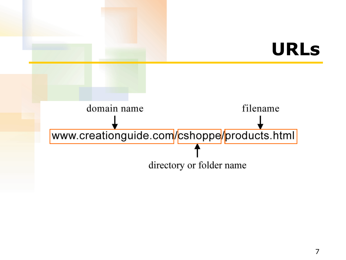### **URLs**

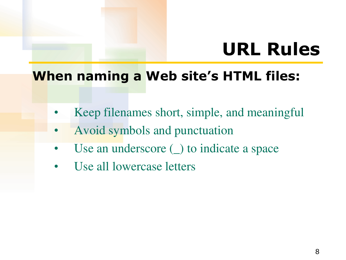# **URL Rules**

#### **When naming a Web site's HTML files:**

- Keep filenames short, simple, and meaningful
- Avoid symbols and punctuation
- Use an underscore (\_) to indicate a space
- Use all lowercase letters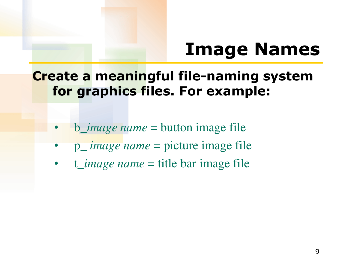## **Image Names**

#### **Create a meaningful file-naming system for graphics files. For example:**

- b\_*image name* = button image file
- p\_ *image name* = picture image file
- t\_*image name* = title bar image file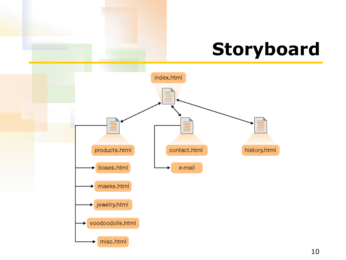## **Storyboard**

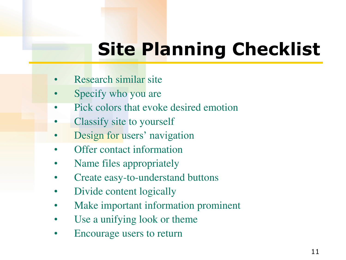# **Site Planning Checklist**

- Research similar site
- Specify who you are
- Pick colors that evoke desired emotion
- Classify site to yourself
- Design for users' navigation
- Offer contact information
- Name files appropriately
- Create easy-to-understand buttons
- Divide content logically
- Make important information prominent
- Use a unifying look or theme
- Encourage users to return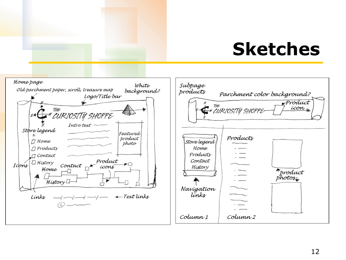## **Sketches**

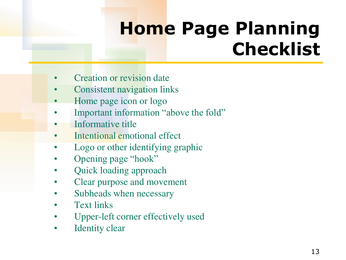# **Home Page Planning Checklist**

- Creation or revision date
- Consistent navigation links
- Home page icon or logo
- Important information "above the fold"
- Informative title
- Intentional emotional effect
- Logo or other identifying graphic
- Opening page "hook"
- Quick loading approach
- Clear purpose and movement
- Subheads when necessary
- **Text links**
- Upper-left corner effectively used
- Identity clear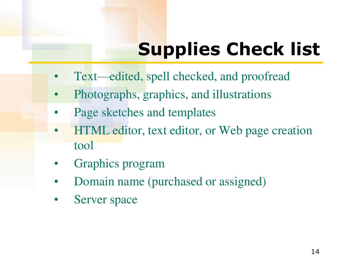# **Supplies Check list**

- Text—edited, spell checked, and proofread
- Photographs, graphics, and illustrations
- Page sketches and templates
- HTML editor, text editor, or Web page creation tool
- Graphics program
- Domain name (purchased or assigned)
- Server space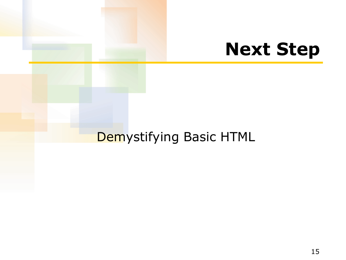### **Next Step**

#### Demystifying Basic HTML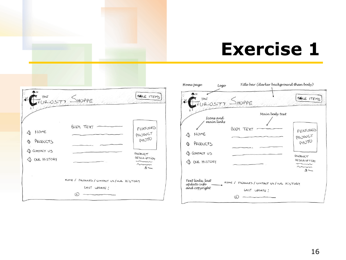## **Exercise 1**

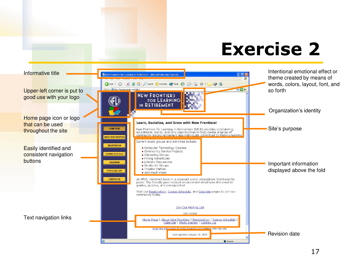## **Exercise 2**